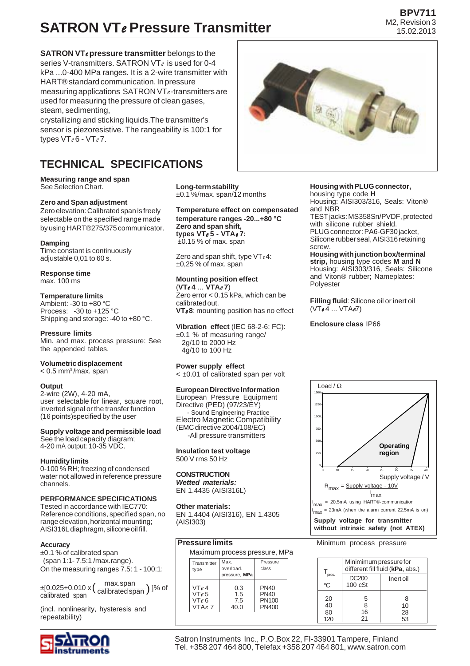# **SATRON VT***e* **Pressure Transmitter**

**SATRON VT***e* **pressure transmitter** belongs to the series V-transmitters. SATRON VT*e* is used for 0-4 kPa ...0-400 MPa ranges. It is a 2-wire transmitter with HART® standard communication. In pressure measuring applications SATRON VT*e* -transmitters are used for measuring the pressure of clean gases, steam, sedimenting,

crystallizing and sticking liquids.The transmitter's sensor is piezoresistive. The rangeability is 100:1 for types VT*e* 6 - VT*e* 7.

# **TECHNICAL SPECIFICATIONS**

**Measuring range and span** See Selection Chart.

#### **Zero and Span adjustment**

Zero elevation: Calibrated span is freely selectable on the specified range made by using HART®275/375 communicator.

#### **Damping**

Time constant is continuously adjustable 0,01 to 60 s.

**Response time**

# max. 100 ms

### **Temperature limits**

Ambient: -30 to +80 °C Process: -30 to +125 °C Shipping and storage: -40 to +80 °C.

#### **Pressure limits**

Min. and max. process pressure: See the appended tables.

# **Volumetric displacement**

#### $< 0.5$  mm<sup>3</sup>/max. span

#### **Output**

2-wire (2W), 4-20 mA, user selectable for linear, square root, inverted signal or the transfer function (16 points)specified by the user

### **Supply voltage and permissible load**

See the load capacity diagram; 4-20 mA output: 10-35 VDC.

#### **Humidity limits**

0-100 % RH; freezing of condensed water not allowed in reference pressure channels.

# **PERFORMANCE SPECIFICATIONS**

Tested in accordance with IEC770: Reference conditions, specified span, no range elevation, horizontal mounting; AISI316L diaphragm, silicone oil fill.

#### **Accuracy**

±0.1 % of calibrated span (span 1:1- 7.5:1 /max.range). On the measuring ranges 7.5: 1 - 100:1:

 $\pm$ [0.025+0.010 x  $\left(\frac{\text{max-span}}{\text{calibrated span}}\right)$  ]% of calibrated span max.span

(incl. nonlinearity, hysteresis and repeatability)



**Long-term stability** ±0.1 %/max. span/12 months

**Temperature effect on compensated temperature ranges -20...+80 °C Zero and span shift, types VT***e* **5 - VTA***e***7:** ±0.15 % of max. span

Zero and span shift, type VT*e* 4: ±0,25 % of max. span

# **Mounting position effect**

(**VT***e* **4** ... **VTA***e* **7**) Zero error < 0.15 kPa, which can be calibrated out. **VT***e* **8**: mounting position has no effect

**Vibration effect** (IEC 68-2-6: FC): ±0.1 % of measuring range/ 2g/10 to 2000 Hz 4g/10 to 100 Hz

### **Power supply effect**

< ±0.01 of calibrated span per volt

### **European Directive Information**

European Pressure Equipment Directive (PED) (97/23/EY) - Sound Engineering Practice Electro Magnetic Compatibility (EMC directive 2004/108/EC) -All pressure transmitters

#### **Insulation test voltage** 500 V rms 50 Hz

#### **CONSTRUCTION** *Wetted materials:*

EN 1.4435 (AISI316L)

#### **Other materials:**

EN 1.4404 (AISI316), EN 1.4305 (AISI303)

# **Pressure limits**

Maximum process pressure, MPa

| Transmitter<br>type | Max.<br>overload.<br>pressure, MPa | Pressure<br>class |
|---------------------|------------------------------------|-------------------|
| VTe4                | 0.3                                | <b>PN40</b>       |
| VTe5                | 1.5                                | <b>PN40</b>       |
| VTe 6               | 7.5                                | <b>PN100</b>      |
| VTAe 7              | 40.0                               | PN400             |

# **Housing with PLUG connector,**

housing type code **H** Housing: AISI303/316, Seals: Viton® and NBR TEST jacks: MS358Sn/PVDF, protected

with silicone rubber shield. PLUG connector: PA6-GF30 jacket, Silicone rubber seal, AISI316 retaining screw.

**Housing with junction box/terminal strip,** housing type codes **M** and **N** Housing: AISI303/316, Seals: Silicone and Viton® rubber; Nameplates: Polyester

**Filling fluid**: Silicone oil or inert oil (VT*e* 4 ... VTA*e*7)

#### **Enclosure class** IP66



#### Minimum process pressure

|             | Minimimum pressure for<br>different fill fluid (kPa, abs.) |           |  |  |
|-------------|------------------------------------------------------------|-----------|--|--|
| proc.<br>°C | <b>DC200</b>                                               | Inert oil |  |  |
|             | $100 \text{ cSt}$                                          |           |  |  |
| 20          | 5                                                          | 8         |  |  |
| 40          | 8                                                          | 10        |  |  |
| 80          | 16                                                         | 28        |  |  |
| 120         | 21                                                         | 53        |  |  |

Satron Instruments Inc., P.O.Box 22, FI-33901 Tampere, Finland Tel. +358 207 464 800, Telefax +358 207 464 801, www.satron.com



#### **BPV711** M2, Revision 3 15.02.2013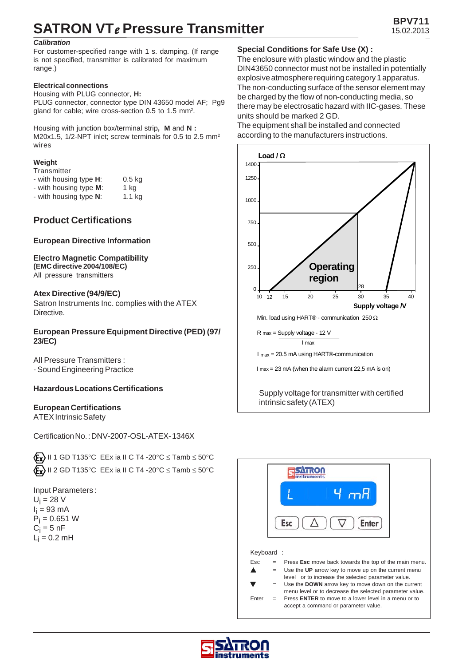# **SATRON VT***e* Pressure Transmitter 15.02.2013

### *Calibration*

For customer-specified range with 1 s. damping. (If range is not specified, transmitter is calibrated for maximum range.)

### **Electrical connections**

Housing with PLUG connector, **H:** PLUG connector, connector type DIN 43650 model AF: Pa9 gland for cable; wire cross-section 0.5 to 1.5 mm2.

Housing with junction box/terminal strip**, M** and **N :** M20x1.5, 1/2-NPT inlet; screw terminals for 0.5 to 2.5 mm<sup>2</sup> wires

### **Weight**

| Transmitter |  |
|-------------|--|
|-------------|--|

- with housing type **H**: 0.5 kg
- with housing type **M**: 1 kg
- with housing type **N**: 1.1 kg

# **Product Certifications**

# **European Directive Information**

# **Electro Magnetic Compatibility**

**(EMC directive 2004/108/EC)** All pressure transmitters

# **Atex Directive (94/9/EC)**

Satron Instruments Inc. complies with the ATEX Directive.

# **European Pressure Equipment Directive (PED) (97/ 23/EC)**

All Pressure Transmitters : - Sound Engineering Practice

# **Hazardous Locations Certifications**

# **European Certifications**

ATEX Intrinsic Safety

Certification No. : DNV-2007-OSL-ATEX- 1346X

 $\langle \mathbf{F}_{\mathbf{x}} \rangle$  II 1 GD T135°C EEx ia II C T4 -20°C  $\leq$  Tamb  $\leq$  50°C  $\langle \mathbf{F}_{\mathbf{x}} \rangle$  II 2 GD T135°C EEx ia II C T4 -20°C  $\leq$  Tamb  $\leq$  50°C

Input Parameters :  $U_i = 28$  V l<sub>i</sub> = 93 mA  $P_{\rm i}$  = 0.651 W  $\mathrm{C_{i}}$  = 5 nF  $L_i = 0.2$  mH

# **Special Conditions for Safe Use (X) :**

The enclosure with plastic window and the plastic DIN43650 connector must not be installed in potentially explosive atmosphere requiring category 1 apparatus. The non-conducting surface of the sensor element may be charged by the flow of non-conducting media, so there may be electrosatic hazard with IIC-gases. These units should be marked 2 GD.

The equipment shall be installed and connected according to the manufacturers instructions.





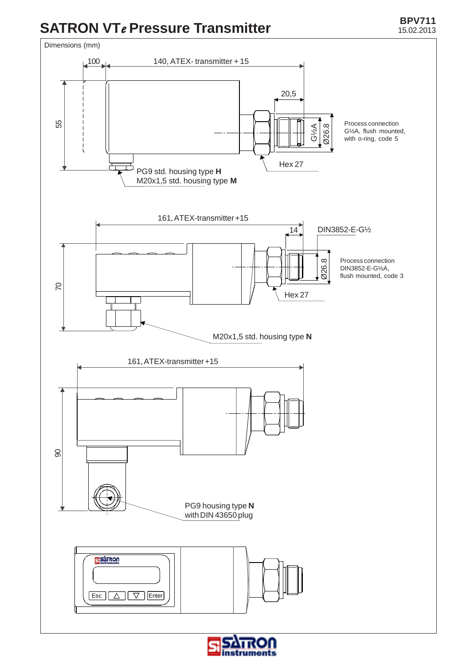# **BPV711 SATRON VT***e* Pressure Transmitter 15.02.2013



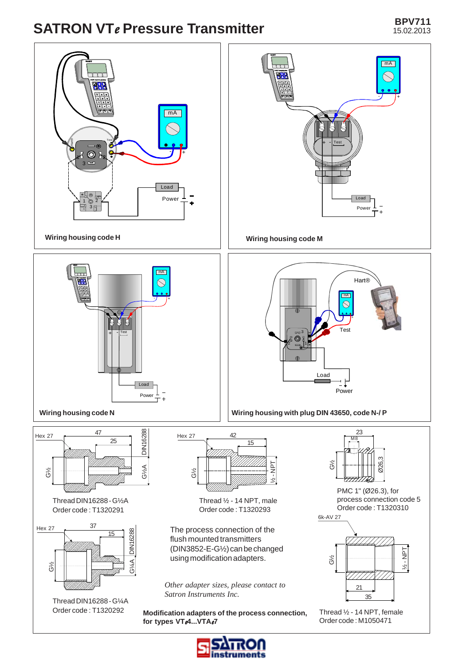# **BPV711 SATRON VT***e* Pressure Transmitter 15.02.2013



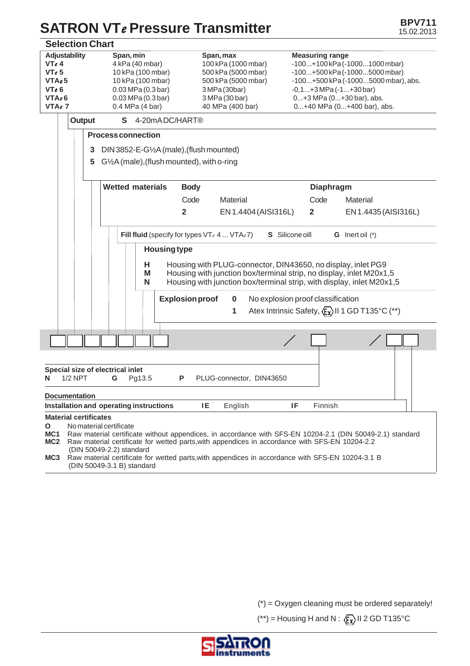# **SATRON VTe Pressure Transmitter BPV711 BPV711**

| <b>Selection Chart</b>                                                                                                                                                                                                                                                                                                                                                                                                                                                                 |                                                                                                                                                                                                                                                    |                                                                                                                                       |                                                                                                                                                                                                                             |  |  |
|----------------------------------------------------------------------------------------------------------------------------------------------------------------------------------------------------------------------------------------------------------------------------------------------------------------------------------------------------------------------------------------------------------------------------------------------------------------------------------------|----------------------------------------------------------------------------------------------------------------------------------------------------------------------------------------------------------------------------------------------------|---------------------------------------------------------------------------------------------------------------------------------------|-----------------------------------------------------------------------------------------------------------------------------------------------------------------------------------------------------------------------------|--|--|
| <b>Adjustability</b><br>VTe4<br>VT <sub>e</sub> 5<br>VTAe5<br>VTe6<br>VTAe6<br>VTAe7<br>Output                                                                                                                                                                                                                                                                                                                                                                                         | Span, min<br>4 kPa (40 mbar)<br>10 kPa (100 mbar)<br>10 kPa (100 mbar)<br>$0.03$ MPa $(0.3$ bar)<br>$0.03$ MPa $(0.3$ bar)<br>0.4 MPa (4 bar)<br>S 4-20mADC/HART®                                                                                  | Span, max<br>100 kPa (1000 mbar)<br>500 kPa (5000 mbar)<br>500 kPa (5000 mbar)<br>3 MPa (30bar)<br>3 MPa (30 bar)<br>40 MPa (400 bar) | <b>Measuring range</b><br>$-100+100$ kPa $(-10001000$ mbar)<br>-100+500 kPa (-10005000 mbar)<br>-100+500 kPa (-10005000 mbar), abs.<br>$-0,1+3$ MPa $(-1+30$ bar)<br>0+3 MPa (0+30 bar), abs.<br>0+40 MPa (0+400 bar), abs. |  |  |
| 3<br>5                                                                                                                                                                                                                                                                                                                                                                                                                                                                                 | <b>Process connection</b><br>DIN 3852-E-G1/2A (male), (flush mounted)                                                                                                                                                                              |                                                                                                                                       |                                                                                                                                                                                                                             |  |  |
|                                                                                                                                                                                                                                                                                                                                                                                                                                                                                        | $G2A$ (male), (flush mounted), with o-ring<br><b>Wetted materials</b><br><b>Body</b>                                                                                                                                                               |                                                                                                                                       | <b>Diaphragm</b>                                                                                                                                                                                                            |  |  |
|                                                                                                                                                                                                                                                                                                                                                                                                                                                                                        | Code<br>$\overline{\mathbf{2}}$                                                                                                                                                                                                                    | Material<br>EN 1.4404 (AISI316L)                                                                                                      | Code<br>Material<br>$\overline{2}$<br>EN 1.4435 (AISI316L)                                                                                                                                                                  |  |  |
|                                                                                                                                                                                                                                                                                                                                                                                                                                                                                        | Fill fluid (specify for types $VT_e$ 4 $VTA_e$ 7)                                                                                                                                                                                                  |                                                                                                                                       | S Silicone oill<br><b>G</b> Inert oil $(*)$                                                                                                                                                                                 |  |  |
|                                                                                                                                                                                                                                                                                                                                                                                                                                                                                        | <b>Housing type</b><br>Housing with PLUG-connector, DIN43650, no display, inlet PG9<br>н<br>Housing with junction box/terminal strip, no display, inlet M20x1,5<br>М<br>Housing with junction box/terminal strip, with display, inlet M20x1,5<br>N |                                                                                                                                       |                                                                                                                                                                                                                             |  |  |
|                                                                                                                                                                                                                                                                                                                                                                                                                                                                                        | <b>Explosion proof</b>                                                                                                                                                                                                                             | $\bf{0}$<br>1                                                                                                                         | No explosion proof classification<br>Atex Intrinsic Safety, $\langle \xi_{\mathbf{x}} \rangle$ II 1 GD T135°C (**)                                                                                                          |  |  |
|                                                                                                                                                                                                                                                                                                                                                                                                                                                                                        |                                                                                                                                                                                                                                                    |                                                                                                                                       |                                                                                                                                                                                                                             |  |  |
| Special size of electrical inlet<br><b>1/2 NPT</b><br>G<br>Pg13.5<br>P<br>PLUG-connector, DIN43650<br>N                                                                                                                                                                                                                                                                                                                                                                                |                                                                                                                                                                                                                                                    |                                                                                                                                       |                                                                                                                                                                                                                             |  |  |
| <b>Documentation</b><br>Installation and operating instructions<br>IE<br>English<br>IF<br>Finnish                                                                                                                                                                                                                                                                                                                                                                                      |                                                                                                                                                                                                                                                    |                                                                                                                                       |                                                                                                                                                                                                                             |  |  |
| <b>Material certificates</b><br>No material certificate<br>O<br>MC1<br>Raw material certificate without appendices, in accordance with SFS-EN 10204-2.1 (DIN 50049-2.1) standard<br>Raw material certificate for wetted parts, with appendices in accordance with SFS-EN 10204-2.2<br>MC <sub>2</sub><br>(DIN 50049-2.2) standard<br>MC <sub>3</sub><br>Raw material certificate for wetted parts, with appendices in accordance with SFS-EN 10204-3.1 B<br>(DIN 50049-3.1 B) standard |                                                                                                                                                                                                                                                    |                                                                                                                                       |                                                                                                                                                                                                                             |  |  |

 $(*)$  = Oxygen cleaning must be ordered separately!

(\*\*) = Housing H and N :  $\langle \overline{\xi} \chi \rangle$  II 2 GD T135°C